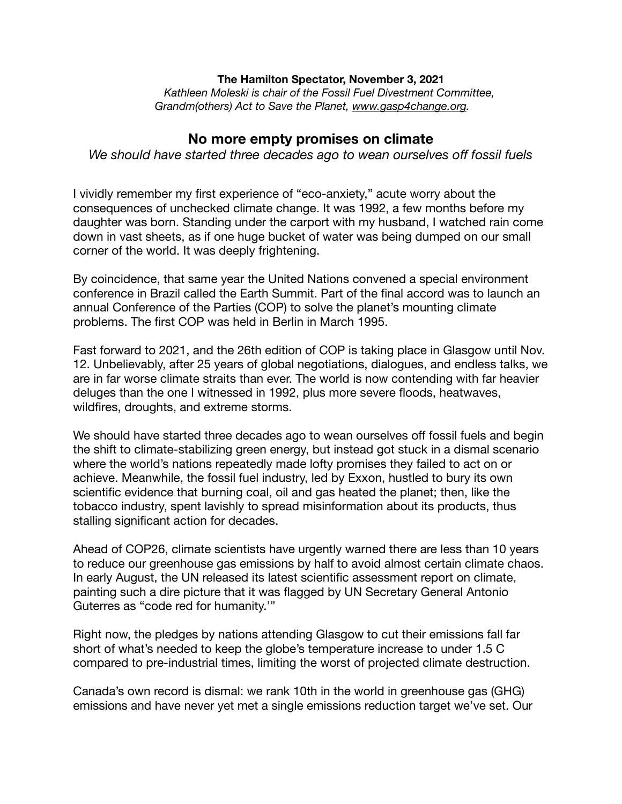## **The Hamilton Spectator, November 3, 2021**

 *Kathleen Moleski is chair of the Fossil Fuel Divestment Committee, Grandm(others) Act to Save the Planet, [www.gasp4change.org](http://www.gasp4change.org).* 

## **No more empty promises on climate**

*We should have started three decades ago to wean ourselves off fossil fuels* 

I vividly remember my first experience of "eco-anxiety," acute worry about the consequences of unchecked climate change. It was 1992, a few months before my daughter was born. Standing under the carport with my husband, I watched rain come down in vast sheets, as if one huge bucket of water was being dumped on our small corner of the world. It was deeply frightening.

By coincidence, that same year the United Nations convened a special environment conference in Brazil called the Earth Summit. Part of the final accord was to launch an annual Conference of the Parties (COP) to solve the planet's mounting climate problems. The first COP was held in Berlin in March 1995.

Fast forward to 2021, and the 26th edition of COP is taking place in Glasgow until Nov. 12. Unbelievably, after 25 years of global negotiations, dialogues, and endless talks, we are in far worse climate straits than ever. The world is now contending with far heavier deluges than the one I witnessed in 1992, plus more severe floods, heatwaves, wildfires, droughts, and extreme storms.

We should have started three decades ago to wean ourselves off fossil fuels and begin the shift to climate-stabilizing green energy, but instead got stuck in a dismal scenario where the world's nations repeatedly made lofty promises they failed to act on or achieve. Meanwhile, the fossil fuel industry, led by Exxon, hustled to bury its own scientific evidence that burning coal, oil and gas heated the planet; then, like the tobacco industry, spent lavishly to spread misinformation about its products, thus stalling significant action for decades.

Ahead of COP26, climate scientists have urgently warned there are less than 10 years to reduce our greenhouse gas emissions by half to avoid almost certain climate chaos. In early August, the UN released its latest scientific assessment report on climate, painting such a dire picture that it was flagged by UN Secretary General Antonio Guterres as "code red for humanity.'"

Right now, the pledges by nations attending Glasgow to cut their emissions fall far short of what's needed to keep the globe's temperature increase to under 1.5 C compared to pre-industrial times, limiting the worst of projected climate destruction.

Canada's own record is dismal: we rank 10th in the world in greenhouse gas (GHG) emissions and have never yet met a single emissions reduction target we've set. Our